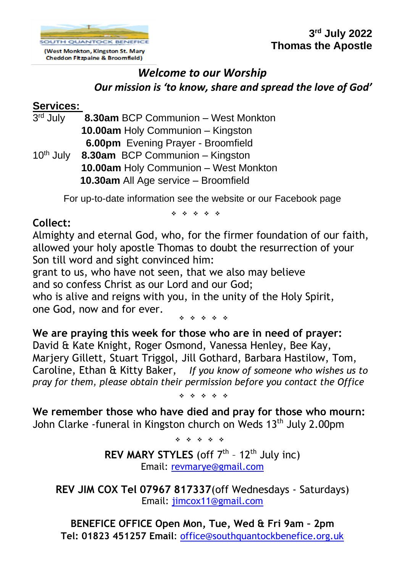

**3 rd July 2022 Thomas the Apostle**

# *Welcome to our Worship Our mission is 'to know, share and spread the love of God'*

### **Services:**

| 3 <sup>rd</sup> July  | 8.30am BCP Communion - West Monkton |
|-----------------------|-------------------------------------|
|                       | 10.00am Holy Communion - Kingston   |
|                       | 6.00pm Evening Prayer - Broomfield  |
| 10 <sup>th</sup> July | 8.30am BCP Communion - Kingston     |
|                       |                                     |

 **10.00am** Holy Communion – West Monkton **10.30am** All Age service – Broomfield

For up-to-date information see the website or our Facebook page

❖ ❖ ❖ ❖ ❖

## **Collect:**

Almighty and eternal God, who, for the firmer foundation of our faith, allowed your holy apostle Thomas to doubt the resurrection of your Son till word and sight convinced him:

grant to us, who have not seen, that we also may believe and so confess Christ as our Lord and our God;

who is alive and reigns with you, in the unity of the Holy Spirit, one God, now and for ever.

❖ ❖ ❖ ❖ ❖

**We are praying this week for those who are in need of prayer:**  David & Kate Knight, Roger Osmond, Vanessa Henley, Bee Kay, Marjery Gillett, Stuart Triggol, Jill Gothard, Barbara Hastilow, Tom, Caroline, Ethan & Kitty Baker, *If you know of someone who wishes us to pray for them, please obtain their permission before you contact the Office*

❖ ❖ ❖ ❖ ❖

**We remember those who have died and pray for those who mourn:**  John Clarke -funeral in Kingston church on Weds 13<sup>th</sup> July 2.00pm

❖ ❖ ❖ ❖ ❖

**REV MARY STYLES** (off 7<sup>th</sup> - 12<sup>th</sup> July inc) Email: [revmarye@gmail.com](mailto:revmarye@gmail.com)

**REV JIM COX Tel 07967 817337**(off Wednesdays - Saturdays) Email: [jimcox11@gmail.com](mailto:jimcox11@gmail.com)

**BENEFICE OFFICE Open Mon, Tue, Wed & Fri 9am – 2pm Tel: 01823 451257 Email**: [office@southquantockbenefice.org.uk](mailto:office@southquantockbenefice.org.uk)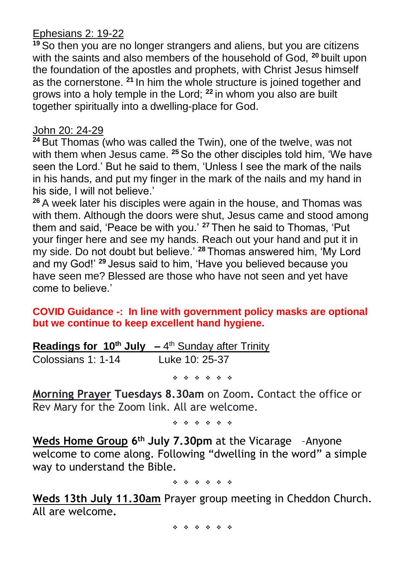#### Ephesians 2: 19-22

**<sup>19</sup>** So then you are no longer strangers and aliens, but you are citizens with the saints and also members of the household of God, **<sup>20</sup>** built upon the foundation of the apostles and prophets, with Christ Jesus himself as the cornerstone. **<sup>21</sup>** In him the whole structure is joined together and grows into a holy temple in the Lord; **<sup>22</sup>** in whom you also are built together spiritually into a dwelling-place for God.

#### John 20: 24-29

**<sup>24</sup>** But Thomas (who was called the Twin), one of the twelve, was not with them when Jesus came. **<sup>25</sup>** So the other disciples told him, 'We have seen the Lord.' But he said to them, 'Unless I see the mark of the nails in his hands, and put my finger in the mark of the nails and my hand in his side, I will not believe.'

**<sup>26</sup>** A week later his disciples were again in the house, and Thomas was with them. Although the doors were shut, Jesus came and stood among them and said, 'Peace be with you.' **<sup>27</sup>** Then he said to Thomas, 'Put your finger here and see my hands. Reach out your hand and put it in my side. Do not doubt but believe.' **<sup>28</sup>** Thomas answered him, 'My Lord and my God!' **<sup>29</sup>** Jesus said to him, 'Have you believed because you have seen me? Blessed are those who have not seen and yet have come to believe.'

**COVID Guidance -: In line with government policy masks are optional but we continue to keep excellent hand hygiene.**

**Readings for 10th July –** 4 th Sunday after Trinity Colossians 1: 1-14 Luke 10: 25-37 ❖ ❖ ❖ ❖ ❖ ❖

**Morning Prayer Tuesdays 8.30am** on Zoom**.** Contact the office or Rev Mary for the Zoom link. All are welcome.

❖ ❖ ❖ ❖ ❖ ❖

**Weds Home Group 6 th July 7.30pm** at the Vicarage –Anyone welcome to come along. Following "dwelling in the word" a simple way to understand the Bible.

❖ ❖ ❖ ❖ ❖ ❖

**Weds 13th July 11.30am** Prayer group meeting in Cheddon Church. All are welcome**.**

❖ ❖ ❖ ❖ ❖ ❖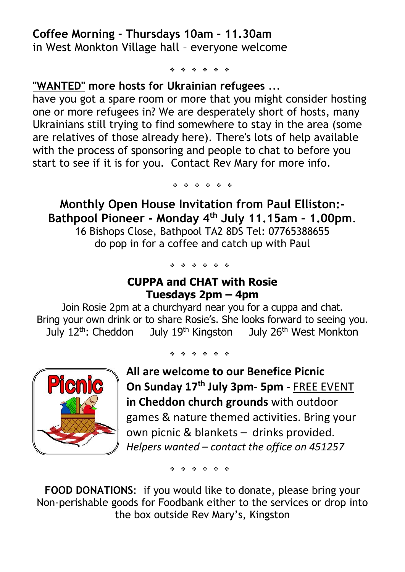### **Coffee Morning - Thursdays 10am – 11.30am** in West Monkton Village hall – everyone welcome

❖ ❖ ❖ ❖ ❖ ❖

#### **"WANTED" more hosts for Ukrainian refugees** ...

have you got a spare room or more that you might consider hosting one or more refugees in? We are desperately short of hosts, many Ukrainians still trying to find somewhere to stay in the area (some are relatives of those already here). There's lots of help available with the process of sponsoring and people to chat to before you start to see if it is for you. Contact Rev Mary for more info.

❖ ❖ ❖ ❖ ❖ ❖

**Monthly Open House Invitation from Paul Elliston:- Bathpool Pioneer - Monday 4 th July 11.15am – 1.00pm**. 16 Bishops Close, Bathpool TA2 8DS Tel: 07765388655 do pop in for a coffee and catch up with Paul

❖ ❖ ❖ ❖ ❖ ❖

### **CUPPA and CHAT with Rosie Tuesdays 2pm – 4pm**

Join Rosie 2pm at a churchyard near you for a cuppa and chat. Bring your own drink or to share Rosie's. She looks forward to seeing you. July 12<sup>th</sup>: Cheddon July 19<sup>th</sup> Kingston July 26<sup>th</sup> West Monkton



❖ ❖ ❖ ❖ ❖ ❖

**All are welcome to our Benefice Picnic On Sunday 17th July 3pm- 5pm** - FREE EVENT **in Cheddon church grounds** with outdoor games & nature themed activities. Bring your own picnic & blankets – drinks provided. *Helpers wanted – contact the office on 451257*

❖ ❖ ❖ ❖ ❖ ❖

**FOOD DONATIONS**: if you would like to donate, please bring your Non-perishable goods for Foodbank either to the services or drop into the box outside Rev Mary's, Kingston